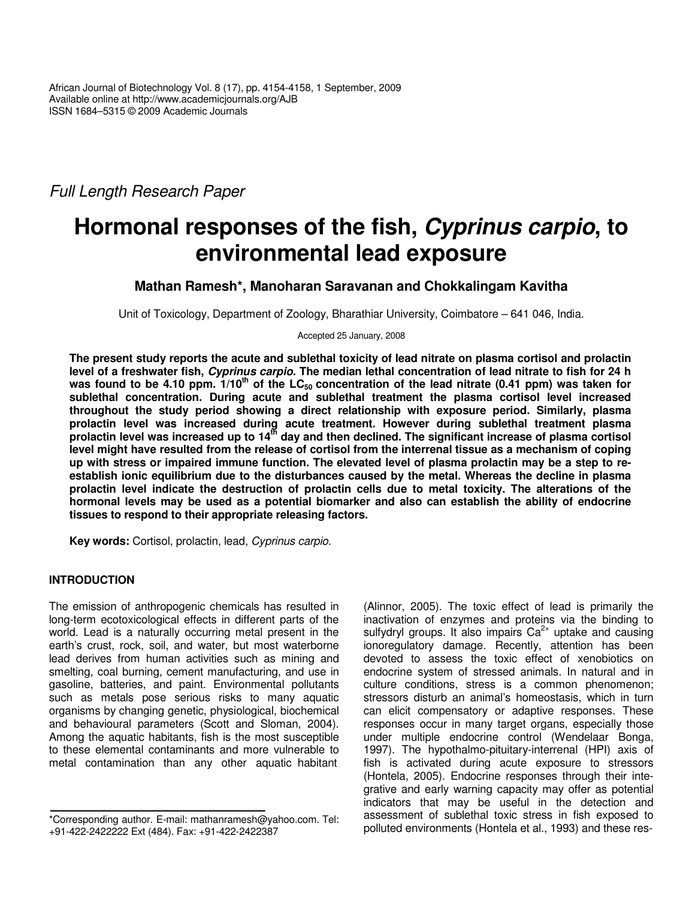*Full Length Research Paper*

# **Hormonal responses of the fish,** *Cyprinus carpio***, to environmental lead exposure**

# **Mathan Ramesh\*, Manoharan Saravanan and Chokkalingam Kavitha**

Unit of Toxicology, Department of Zoology, Bharathiar University, Coimbatore – 641 046, India.

Accepted 25 January, 2008

The present study reports the acute and sublethal toxicity of lead nitrate on plasma cortisol and prolactin level of a freshwater fish, Cyprinus carpio. The median lethal concentration of lead nitrate to fish for 24 h was found to be 4.10 ppm.  $1/10^{th}$  of the LC<sub>50</sub> concentration of the lead nitrate (0.41 ppm) was taken for **sublethal concentration. During acute and sublethal treatment the plasma cortisol level increased throughout the study period showing a direct relationship with exposure period. Similarly, plasma prolactin level was increased during acute treatment. However during sublethal treatment plasma** prolactin level was increased up to 14<sup>th</sup> day and then declined. The significant increase of plasma cortisol level might have resulted from the release of cortisol from the interrenal tissue as a mechanism of coping up with stress or impaired immune function. The elevated level of plasma prolactin may be a step to re**establish ionic equilibrium due to the disturbances caused by the metal. Whereas the decline in plasma prolactin level indicate the destruction of prolactin cells due to metal toxicity. The alterations of the hormonal levels may be used as a potential biomarker and also can establish the ability of endocrine tissues to respond to their appropriate releasing factors.**

**Key words:** Cortisol, prolactin, lead, *Cyprinus carpio*.

# **INTRODUCTION**

The emission of anthropogenic chemicals has resulted in long-term ecotoxicological effects in different parts of the world. Lead is a naturally occurring metal present in the earth's crust, rock, soil, and water, but most waterborne lead derives from human activities such as mining and smelting, coal burning, cement manufacturing, and use in gasoline, batteries, and paint. Environmental pollutants such as metals pose serious risks to many aquatic organisms by changing genetic, physiological, biochemical and behavioural parameters (Scott and Sloman, 2004). Among the aquatic habitants, fish is the most susceptible to these elemental contaminants and more vulnerable to metal contamination than any other aquatic habitant

(Alinnor, 2005). The toxic effect of lead is primarily the inactivation of enzymes and proteins via the binding to sulfydryl groups. It also impairs  $Ca^{2+}$  uptake and causing ionoregulatory damage. Recently, attention has been devoted to assess the toxic effect of xenobiotics on endocrine system of stressed animals. In natural and in culture conditions, stress is a common phenomenon; stressors disturb an animal's homeostasis, which in turn can elicit compensatory or adaptive responses. These responses occur in many target organs, especially those under multiple endocrine control (Wendelaar Bonga, 1997). The hypothalmo-pituitary-interrenal (HPI) axis of fish is activated during acute exposure to stressors (Hontela, 2005). Endocrine responses through their integrative and early warning capacity may offer as potential indicators that may be useful in the detection and assessment of sublethal toxic stress in fish exposed to polluted environments (Hontela et al., 1993) and these res-

<sup>\*</sup>Corresponding author. E-mail: mathanramesh@yahoo.com. Tel: +91-422-2422222 Ext (484). Fax: +91-422-2422387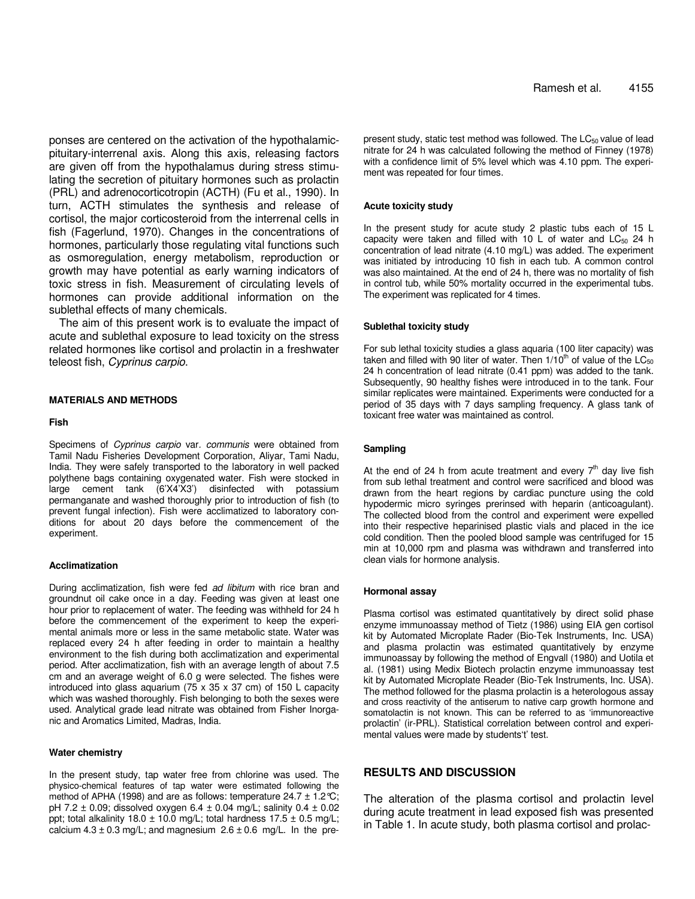ponses are centered on the activation of the hypothalamicpituitary-interrenal axis. Along this axis, releasing factors are given off from the hypothalamus during stress stimulating the secretion of pituitary hormones such as prolactin (PRL) and adrenocorticotropin (ACTH) (Fu et al., 1990). In turn, ACTH stimulates the synthesis and release of cortisol, the major corticosteroid from the interrenal cells in fish (Fagerlund, 1970). Changes in the concentrations of hormones, particularly those regulating vital functions such as osmoregulation, energy metabolism, reproduction or growth may have potential as early warning indicators of toxic stress in fish. Measurement of circulating levels of hormones can provide additional information on the sublethal effects of many chemicals.

The aim of this present work is to evaluate the impact of acute and sublethal exposure to lead toxicity on the stress related hormones like cortisol and prolactin in a freshwater teleost fish, *Cyprinus carpio*.

# **MATERIALS AND METHODS**

#### **Fish**

Specimens of *Cyprinus carpio* var*. communis* were obtained from Tamil Nadu Fisheries Development Corporation, Aliyar, Tami Nadu, India. They were safely transported to the laboratory in well packed polythene bags containing oxygenated water. Fish were stocked in large cement tank (6'X4'X3') disinfected with potassium permanganate and washed thoroughly prior to introduction of fish (to prevent fungal infection). Fish were acclimatized to laboratory conditions for about 20 days before the commencement of the experiment.

#### **Acclimatization**

During acclimatization, fish were fed *ad libitum* with rice bran and groundnut oil cake once in a day. Feeding was given at least one hour prior to replacement of water. The feeding was withheld for 24 h before the commencement of the experiment to keep the experimental animals more or less in the same metabolic state. Water was replaced every 24 h after feeding in order to maintain a healthy environment to the fish during both acclimatization and experimental period. After acclimatization, fish with an average length of about 7.5 cm and an average weight of 6.0 g were selected. The fishes were introduced into glass aquarium (75 x 35 x 37 cm) of 150 L capacity which was washed thoroughly. Fish belonging to both the sexes were used. Analytical grade lead nitrate was obtained from Fisher Inorganic and Aromatics Limited, Madras, India.

#### **Water chemistry**

In the present study, tap water free from chlorine was used. The physico-chemical features of tap water were estimated following the method of APHA (1998) and are as follows: temperature  $24.7 \pm 1.2 \degree$ C; pH 7.2  $\pm$  0.09; dissolved oxygen 6.4  $\pm$  0.04 mg/L; salinity 0.4  $\pm$  0.02 ppt; total alkalinity 18.0  $\pm$  10.0 mg/L; total hardness 17.5  $\pm$  0.5 mg/L; calcium  $4.3 \pm 0.3$  mg/L; and magnesium  $2.6 \pm 0.6$  mg/L. In the pre-

present study, static test method was followed. The  $LC_{50}$  value of lead nitrate for 24 h was calculated following the method of Finney (1978) with a confidence limit of 5% level which was 4.10 ppm. The experiment was repeated for four times.

#### **Acute toxicity study**

In the present study for acute study 2 plastic tubs each of 15 L capacity were taken and filled with 10 L of water and  $LC_{50}$  24 h concentration of lead nitrate (4.10 mg/L) was added. The experiment was initiated by introducing 10 fish in each tub. A common control was also maintained. At the end of 24 h, there was no mortality of fish in control tub, while 50% mortality occurred in the experimental tubs. The experiment was replicated for 4 times.

#### **Sublethal toxicity study**

For sub lethal toxicity studies a glass aquaria (100 liter capacity) was taken and filled with 90 liter of water. Then  $1/10<sup>th</sup>$  of value of the LC<sub>50</sub> 24 h concentration of lead nitrate (0.41 ppm) was added to the tank. Subsequently, 90 healthy fishes were introduced in to the tank. Four similar replicates were maintained. Experiments were conducted for a period of 35 days with 7 days sampling frequency. A glass tank of toxicant free water was maintained as control.

#### **Sampling**

At the end of 24 h from acute treatment and every  $7<sup>th</sup>$  day live fish from sub lethal treatment and control were sacrificed and blood was drawn from the heart regions by cardiac puncture using the cold hypodermic micro syringes prerinsed with heparin (anticoagulant). The collected blood from the control and experiment were expelled into their respective heparinised plastic vials and placed in the ice cold condition. Then the pooled blood sample was centrifuged for 15 min at 10,000 rpm and plasma was withdrawn and transferred into clean vials for hormone analysis.

#### **Hormonal assay**

Plasma cortisol was estimated quantitatively by direct solid phase enzyme immunoassay method of Tietz (1986) using EIA gen cortisol kit by Automated Microplate Rader (Bio-Tek Instruments, Inc. USA) and plasma prolactin was estimated quantitatively by enzyme immunoassay by following the method of Engvall (1980) and Uotila et al. (1981) using Medix Biotech prolactin enzyme immunoassay test kit by Automated Microplate Reader (Bio-Tek Instruments, Inc. USA). The method followed for the plasma prolactin is a heterologous assay and cross reactivity of the antiserum to native carp growth hormone and somatolactin is not known. This can be referred to as 'immunoreactive prolactin' (ir-PRL). Statistical correlation between control and experimental values were made by students't' test.

### **RESULTS AND DISCUSSION**

The alteration of the plasma cortisol and prolactin level during acute treatment in lead exposed fish was presented in Table 1. In acute study, both plasma cortisol and prolac-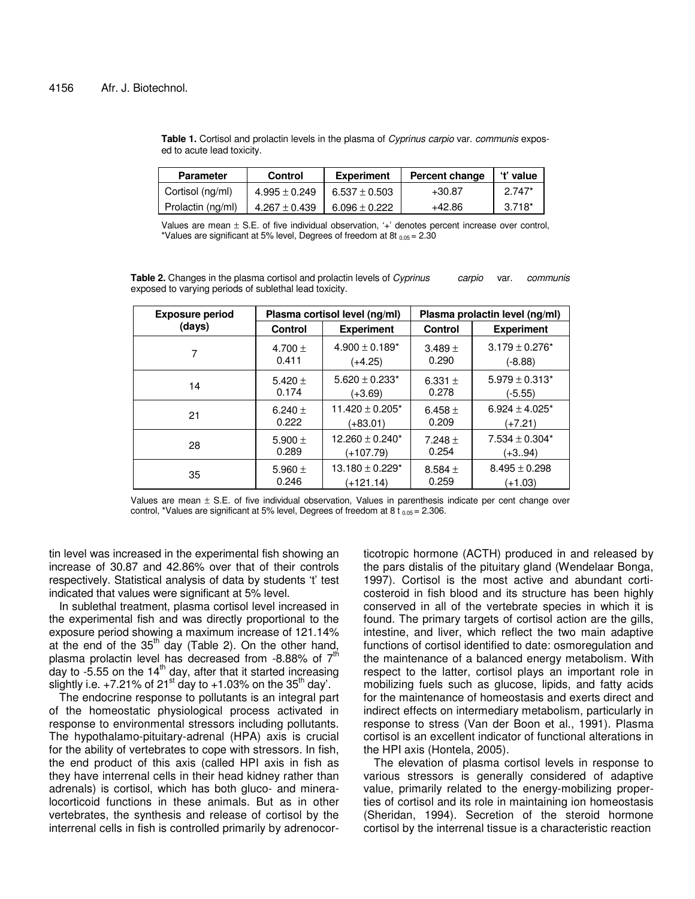**Table 1.** Cortisol and prolactin levels in the plasma of *Cyprinus carpio* var. *communis* exposed to acute lead toxicity.

| <b>Parameter</b>  | <b>Control</b>    | <b>Experiment</b> | Percent change | 't' value |
|-------------------|-------------------|-------------------|----------------|-----------|
| Cortisol (ng/ml)  | $4.995 \pm 0.249$ | $6.537 \pm 0.503$ | $+30.87$       | $2.747*$  |
| Prolactin (ng/ml) | $4.267 \pm 0.439$ | $6.096 \pm 0.222$ | +42.86         | $3.718*$  |

Values are mean  $\pm$  S.E. of five individual observation, '+' denotes percent increase over control, \*Values are significant at 5% level, Degrees of freedom at 8t  $_{0.05}$  = 2.30

**Table 2.** Changes in the plasma cortisol and prolactin levels of *Cyprinus carpio* var. *communis* exposed to varying periods of sublethal lead toxicity.

| <b>Exposure period</b> | Plasma cortisol level (ng/ml) |                      | Plasma prolactin level (ng/ml) |                     |
|------------------------|-------------------------------|----------------------|--------------------------------|---------------------|
| (days)                 | Control                       | <b>Experiment</b>    | Control                        | <b>Experiment</b>   |
| 7                      | 4.700 $\pm$                   | $4.900 \pm 0.189^*$  | $3.489 +$                      | $3.179 \pm 0.276$ * |
|                        | 0.411                         | $(+4.25)$            | 0.290                          | $(-8.88)$           |
| 14                     | 5.420 $\pm$                   | $5.620 \pm 0.233^*$  | 6.331 $\pm$                    | $5.979 \pm 0.313*$  |
|                        | 0.174                         | (+3.69)              | 0.278                          | (-5.55)             |
| 21                     | 6.240 $\pm$                   | $11.420 \pm 0.205$ * | 6.458 $\pm$                    | $6.924 \pm 4.025$ * |
|                        | 0.222                         | (+83.01)             | 0.209                          | (+7.21)             |
| 28                     | 5.900 $\pm$                   | $12.260 \pm 0.240^*$ | 7.248 $\pm$                    | $7.534 \pm 0.304*$  |
|                        | 0.289                         | (+107.79)            | 0.254                          | $(+3.94)$           |
| 35                     | 5.960 $\pm$                   | $13.180 \pm 0.229$ * | 8.584 $\pm$                    | $8.495 \pm 0.298$   |
|                        | 0.246                         | (+121.14)            | 0.259                          | (+1.03)             |

Values are mean ± S.E. of five individual observation, Values in parenthesis indicate per cent change over control, \*Values are significant at 5% level, Degrees of freedom at 8 t  $_{0.05}$  = 2.306.

tin level was increased in the experimental fish showing an increase of 30.87 and 42.86% over that of their controls respectively. Statistical analysis of data by students 't' test indicated that values were significant at 5% level.

In sublethal treatment, plasma cortisol level increased in the experimental fish and was directly proportional to the exposure period showing a maximum increase of 121.14% at the end of the 35<sup>th</sup> day (Table 2). On the other hand, plasma prolactin level has decreased from -8.88% of  $7<sup>th</sup>$ day to -5.55 on the 14<sup>th</sup> day, after that it started increasing slightly i.e. +7.21% of 21<sup>st</sup> day to +1.03% on the 35<sup>th</sup> day'.

The endocrine response to pollutants is an integral part of the homeostatic physiological process activated in response to environmental stressors including pollutants. The hypothalamo-pituitary-adrenal (HPA) axis is crucial for the ability of vertebrates to cope with stressors. In fish, the end product of this axis (called HPI axis in fish as they have interrenal cells in their head kidney rather than adrenals) is cortisol, which has both gluco- and mineralocorticoid functions in these animals. But as in other vertebrates, the synthesis and release of cortisol by the interrenal cells in fish is controlled primarily by adrenocor-

ticotropic hormone (ACTH) produced in and released by the pars distalis of the pituitary gland (Wendelaar Bonga, 1997). Cortisol is the most active and abundant corticosteroid in fish blood and its structure has been highly conserved in all of the vertebrate species in which it is found. The primary targets of cortisol action are the gills, intestine, and liver, which reflect the two main adaptive functions of cortisol identified to date: osmoregulation and the maintenance of a balanced energy metabolism. With respect to the latter, cortisol plays an important role in mobilizing fuels such as glucose, lipids, and fatty acids for the maintenance of homeostasis and exerts direct and indirect effects on intermediary metabolism, particularly in response to stress (Van der Boon et al., 1991). Plasma cortisol is an excellent indicator of functional alterations in the HPI axis (Hontela, 2005).

The elevation of plasma cortisol levels in response to various stressors is generally considered of adaptive value, primarily related to the energy-mobilizing properties of cortisol and its role in maintaining ion homeostasis (Sheridan, 1994). Secretion of the steroid hormone cortisol by the interrenal tissue is a characteristic reaction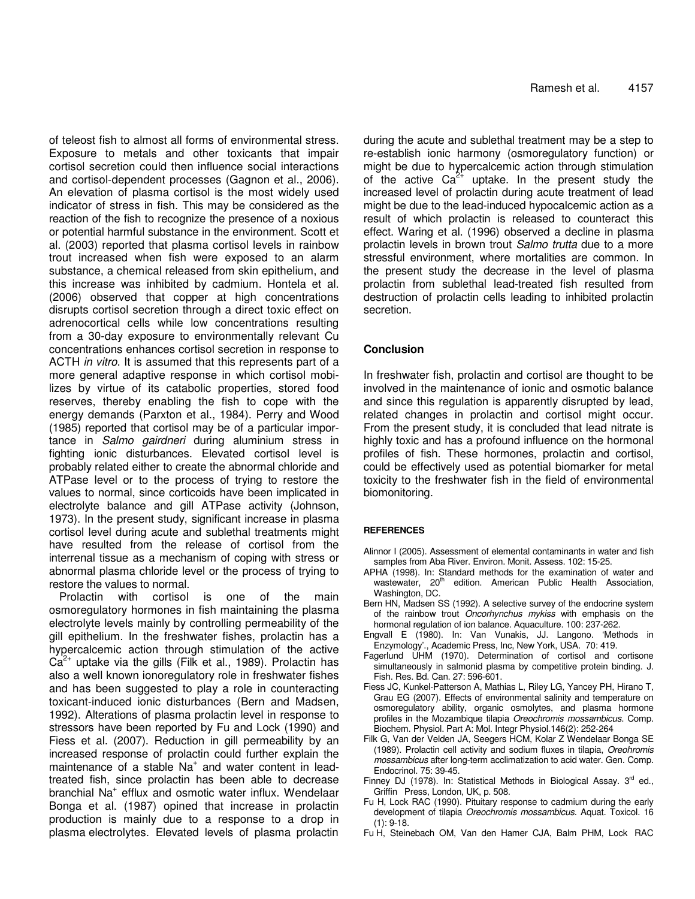of teleost fish to almost all forms of environmental stress. Exposure to metals and other toxicants that impair cortisol secretion could then influence social interactions and cortisol-dependent processes (Gagnon et al., 2006). An elevation of plasma cortisol is the most widely used indicator of stress in fish. This may be considered as the reaction of the fish to recognize the presence of a noxious or potential harmful substance in the environment. Scott et al. (2003) reported that plasma cortisol levels in rainbow trout increased when fish were exposed to an alarm substance, a chemical released from skin epithelium, and this increase was inhibited by cadmium. Hontela et al. (2006) observed that copper at high concentrations disrupts cortisol secretion through a direct toxic effect on adrenocortical cells while low concentrations resulting from a 30-day exposure to environmentally relevant Cu concentrations enhances cortisol secretion in response to ACTH *in vitro*. It is assumed that this represents part of a more general adaptive response in which cortisol mobilizes by virtue of its catabolic properties, stored food reserves, thereby enabling the fish to cope with the energy demands (Parxton et al., 1984). Perry and Wood (1985) reported that cortisol may be of a particular importance in *Salmo gairdneri* during aluminium stress in fighting ionic disturbances. Elevated cortisol level is probably related either to create the abnormal chloride and ATPase level or to the process of trying to restore the values to normal, since corticoids have been implicated in electrolyte balance and gill ATPase activity (Johnson, 1973). In the present study, significant increase in plasma cortisol level during acute and sublethal treatments might have resulted from the release of cortisol from the interrenal tissue as a mechanism of coping with stress or abnormal plasma chloride level or the process of trying to restore the values to normal.

Prolactin with cortisol is one of the main osmoregulatory hormones in fish maintaining the plasma electrolyte levels mainly by controlling permeability of the gill epithelium. In the freshwater fishes, prolactin has a hypercalcemic action through stimulation of the active  $Ca<sup>2+</sup>$  uptake via the gills (Filk et al., 1989). Prolactin has also a well known ionoregulatory role in freshwater fishes and has been suggested to play a role in counteracting toxicant-induced ionic disturbances (Bern and Madsen, 1992). Alterations of plasma prolactin level in response to stressors have been reported by Fu and Lock (1990) and Fiess et al. (2007). Reduction in gill permeability by an increased response of prolactin could further explain the maintenance of a stable Na<sup>+</sup> and water content in leadtreated fish, since prolactin has been able to decrease branchial Na<sup>+</sup> efflux and osmotic water influx. Wendelaar Bonga et al. (1987) opined that increase in prolactin production is mainly due to a response to a drop in plasma electrolytes. Elevated levels of plasma prolactin during the acute and sublethal treatment may be a step to re-establish ionic harmony (osmoregulatory function) or might be due to hypercalcemic action through stimulation of the active  $Ca^{2+}$  uptake. In the present study the increased level of prolactin during acute treatment of lead might be due to the lead-induced hypocalcemic action as a result of which prolactin is released to counteract this effect. Waring et al. (1996) observed a decline in plasma prolactin levels in brown trout *Salmo trutta* due to a more stressful environment, where mortalities are common. In the present study the decrease in the level of plasma prolactin from sublethal lead-treated fish resulted from destruction of prolactin cells leading to inhibited prolactin secretion.

# **Conclusion**

In freshwater fish, prolactin and cortisol are thought to be involved in the maintenance of ionic and osmotic balance and since this regulation is apparently disrupted by lead, related changes in prolactin and cortisol might occur. From the present study, it is concluded that lead nitrate is highly toxic and has a profound influence on the hormonal profiles of fish. These hormones, prolactin and cortisol, could be effectively used as potential biomarker for metal toxicity to the freshwater fish in the field of environmental biomonitoring.

## **REFERENCES**

- Alinnor I (2005). Assessment of elemental contaminants in water and fish samples from Aba River. Environ. Monit. Assess. 102: 15-25.
- APHA (1998). In: Standard methods for the examination of water and wastewater, 20<sup>th</sup> edition. American Public Health Association, Washington, DC.
- Bern HN, Madsen SS (1992). A selective survey of the endocrine system of the rainbow trout *Oncorhynchus mykiss* with emphasis on the hormonal regulation of ion balance. Aquaculture. 100: 237-262.
- Engvall E (1980). In: Van Vunakis, JJ. Langono. 'Methods in Enzymology'., Academic Press, Inc, New York, USA. 70: 419.
- Fagerlund UHM (1970). Determination of cortisol and cortisone simultaneously in salmonid plasma by competitive protein binding. J. Fish. Res. Bd. Can. 27: 596-601.
- Fiess JC, Kunkel-Patterson A, Mathias L, Riley LG, Yancey PH, Hirano T, Grau EG (2007). Effects of environmental salinity and temperature on osmoregulatory ability, organic osmolytes, and plasma hormone profiles in the Mozambique tilapia *Oreochromis mossambicus*. Comp. Biochem. Physiol. Part A: Mol. Integr Physiol.146(2): 252-264
- Filk G, Van der Velden JA, Seegers HCM, Kolar Z Wendelaar Bonga SE (1989). Prolactin cell activity and sodium fluxes in tilapia, *Oreohromis mossambicus* after long-term acclimatization to acid water. Gen. Comp. Endocrinol. 75: 39-45.
- Finney DJ (1978). In: Statistical Methods in Biological Assay. 3<sup>rd</sup> ed., Griffin Press, London, UK, p. 508.
- Fu H, Lock RAC (1990). Pituitary response to cadmium during the early development of tilapia *Oreochromis mossambicus*. Aquat. Toxicol. 16  $(1): 9-18.$
- Fu H, Steinebach OM, Van den Hamer CJA, Balm PHM, Lock RAC